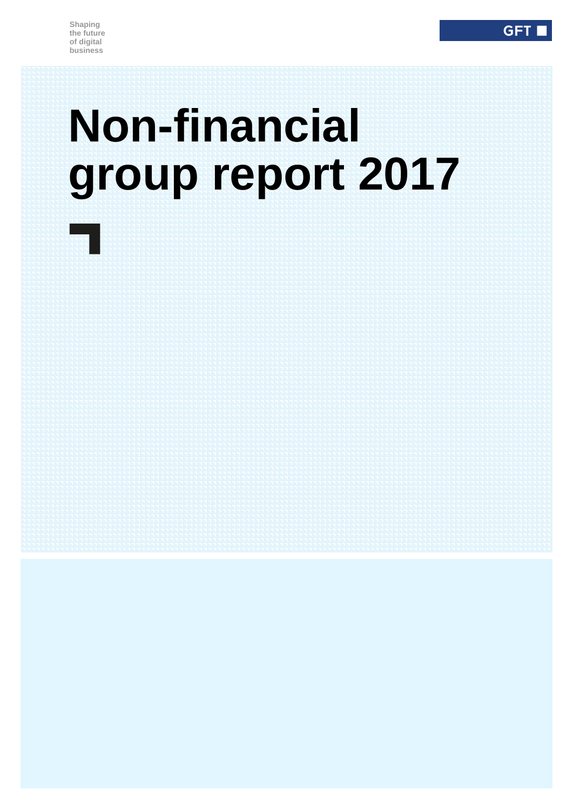m.

# **Non-financial group report 2017**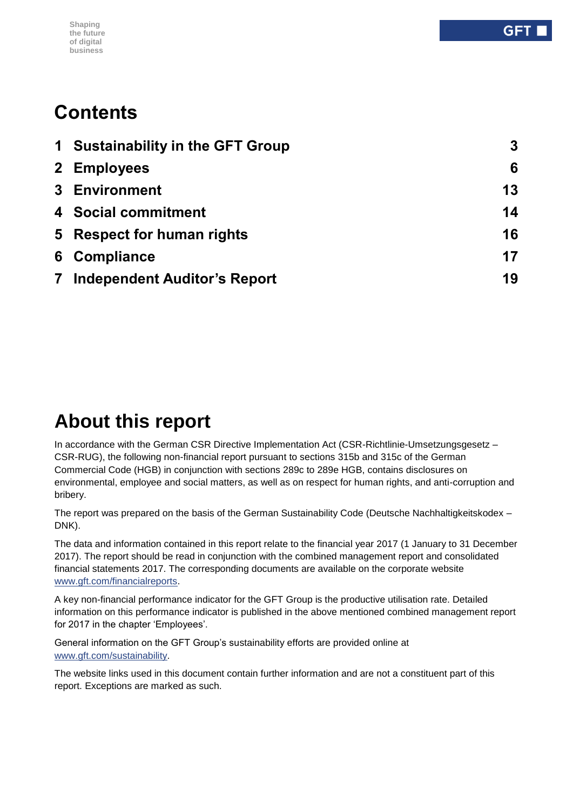#### **Shaping the future of digital business**

# **Contents**

|                         | 1 Sustainability in the GFT Group   | 3  |
|-------------------------|-------------------------------------|----|
|                         | 2 Employees                         | 6  |
|                         | <b>3</b> Environment                | 13 |
|                         | 4 Social commitment                 | 14 |
|                         | 5 Respect for human rights          | 16 |
|                         | 6 Compliance                        | 17 |
| $\overline{\mathbf{7}}$ | <b>Independent Auditor's Report</b> | 19 |

# **About this report**

In accordance with the German CSR Directive Implementation Act (CSR-Richtlinie-Umsetzungsgesetz – CSR-RUG), the following non-financial report pursuant to sections 315b and 315c of the German Commercial Code (HGB) in conjunction with sections 289c to 289e HGB, contains disclosures on environmental, employee and social matters, as well as on respect for human rights, and anti-corruption and bribery.

The report was prepared on the basis of the German Sustainability Code (Deutsche Nachhaltigkeitskodex – DNK).

The data and information contained in this report relate to the financial year 2017 (1 January to 31 December 2017). The report should be read in conjunction with the combined management report and consolidated financial statements 2017. The corresponding documents are available on the corporate website [www.gft.com/financialreports.](http://www.gft.com/financialreports)

A key non-financial performance indicator for the GFT Group is the productive utilisation rate. Detailed information on this performance indicator is published in the above mentioned combined management report for 2017 in the chapter 'Employees'.

General information on the GFT Group's sustainability efforts are provided online at [www.gft.com/sustainability.](http://www.gft.com/sustainability)

The website links used in this document contain further information and are not a constituent part of this report. Exceptions are marked as such.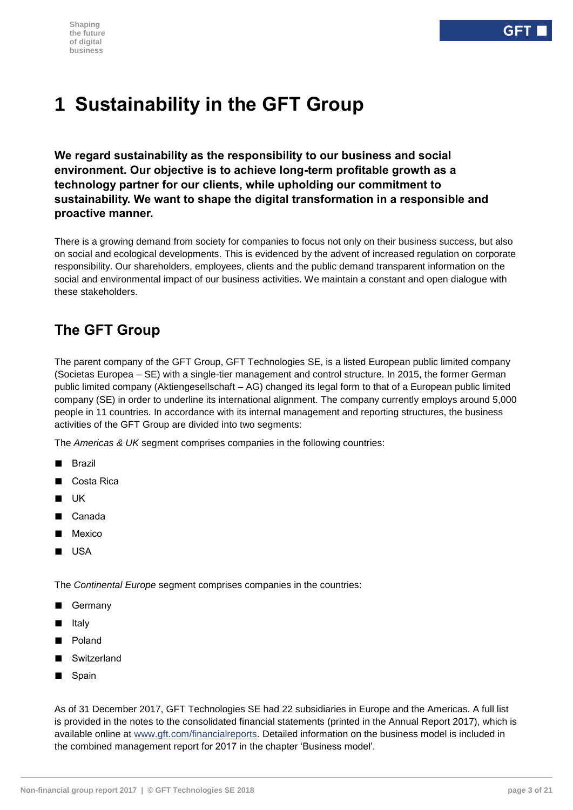# <span id="page-2-0"></span>**1 Sustainability in the GFT Group**

**We regard sustainability as the responsibility to our business and social environment. Our objective is to achieve long-term profitable growth as a technology partner for our clients, while upholding our commitment to sustainability. We want to shape the digital transformation in a responsible and proactive manner.**

There is a growing demand from society for companies to focus not only on their business success, but also on social and ecological developments. This is evidenced by the advent of increased regulation on corporate responsibility. Our shareholders, employees, clients and the public demand transparent information on the social and environmental impact of our business activities. We maintain a constant and open dialogue with these stakeholders.

# **The GFT Group**

The parent company of the GFT Group, GFT Technologies SE, is a listed European public limited company (Societas Europea – SE) with a single-tier management and control structure. In 2015, the former German public limited company (Aktiengesellschaft – AG) changed its legal form to that of a European public limited company (SE) in order to underline its international alignment. The company currently employs around 5,000 people in 11 countries. In accordance with its internal management and reporting structures, the business activities of the GFT Group are divided into two segments:

The *Americas & UK* segment comprises companies in the following countries:

- Brazil
- Costa Rica
- UK
- Canada
- Mexico
- USA

The *Continental Europe* segment comprises companies in the countries:

- Germany
- Italy
- Poland
- Switzerland
- Spain

As of 31 December 2017, GFT Technologies SE had 22 subsidiaries in Europe and the Americas. A full list is provided in the notes to the consolidated financial statements (printed in the Annual Report 2017), which is available online at [www.gft.com/financialreports.](http://www.gft.com/financialreports) Detailed information on the business model is included in the combined management report for 2017 in the chapter 'Business model'.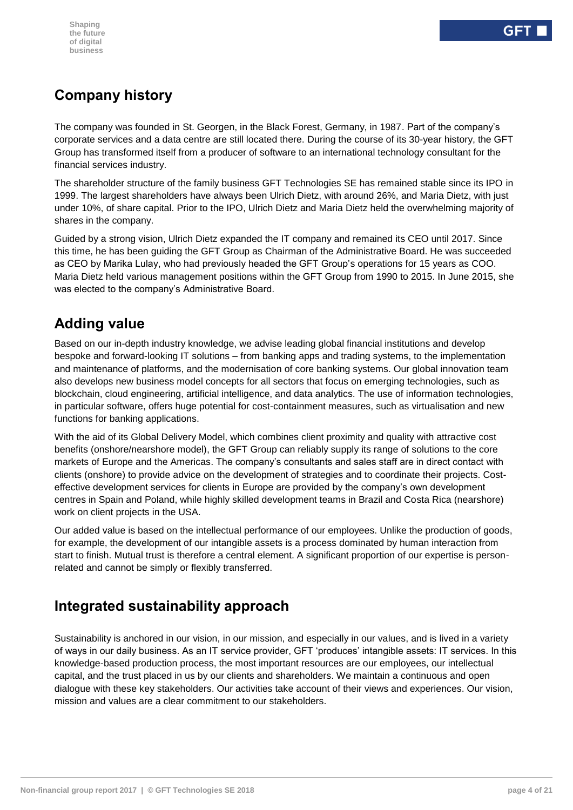# **Company history**

The company was founded in St. Georgen, in the Black Forest, Germany, in 1987. Part of the company's corporate services and a data centre are still located there. During the course of its 30-year history, the GFT Group has transformed itself from a producer of software to an international technology consultant for the financial services industry.

The shareholder structure of the family business GFT Technologies SE has remained stable since its IPO in 1999. The largest shareholders have always been Ulrich Dietz, with around 26%, and Maria Dietz, with just under 10%, of share capital. Prior to the IPO, Ulrich Dietz and Maria Dietz held the overwhelming majority of shares in the company.

Guided by a strong vision, Ulrich Dietz expanded the IT company and remained its CEO until 2017. Since this time, he has been guiding the GFT Group as Chairman of the Administrative Board. He was succeeded as CEO by Marika Lulay, who had previously headed the GFT Group's operations for 15 years as COO. Maria Dietz held various management positions within the GFT Group from 1990 to 2015. In June 2015, she was elected to the company's Administrative Board.

# **Adding value**

Based on our in-depth industry knowledge, we advise leading global financial institutions and develop bespoke and forward-looking IT solutions – from banking apps and trading systems, to the implementation and maintenance of platforms, and the modernisation of core banking systems. Our global innovation team also develops new business model concepts for all sectors that focus on emerging technologies, such as blockchain, cloud engineering, artificial intelligence, and data analytics. The use of information technologies, in particular software, offers huge potential for cost-containment measures, such as virtualisation and new functions for banking applications.

With the aid of its Global Delivery Model, which combines client proximity and quality with attractive cost benefits (onshore/nearshore model), the GFT Group can reliably supply its range of solutions to the core markets of Europe and the Americas. The company's consultants and sales staff are in direct contact with clients (onshore) to provide advice on the development of strategies and to coordinate their projects. Costeffective development services for clients in Europe are provided by the company's own development centres in Spain and Poland, while highly skilled development teams in Brazil and Costa Rica (nearshore) work on client projects in the USA.

Our added value is based on the intellectual performance of our employees. Unlike the production of goods, for example, the development of our intangible assets is a process dominated by human interaction from start to finish. Mutual trust is therefore a central element. A significant proportion of our expertise is personrelated and cannot be simply or flexibly transferred.

# **Integrated sustainability approach**

Sustainability is anchored in our vision, in our mission, and especially in our values, and is lived in a variety of ways in our daily business. As an IT service provider, GFT 'produces' intangible assets: IT services. In this knowledge-based production process, the most important resources are our employees, our intellectual capital, and the trust placed in us by our clients and shareholders. We maintain a continuous and open dialogue with these key stakeholders. Our activities take account of their views and experiences. Our vision, mission and values are a clear commitment to our stakeholders.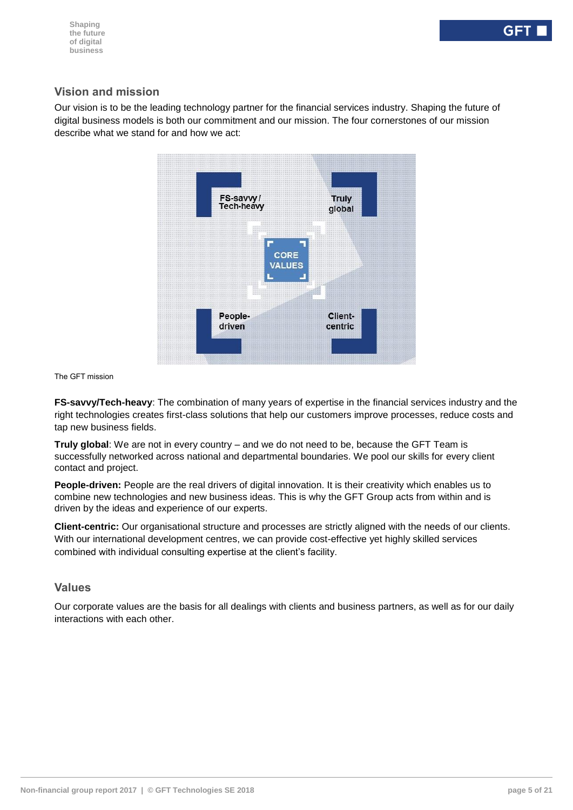#### **Vision and mission**

Our vision is to be the leading technology partner for the financial services industry. Shaping the future of digital business models is both our commitment and our mission. The four cornerstones of our mission describe what we stand for and how we act:



The GFT mission

**FS-savvy/Tech-heavy**: The combination of many years of expertise in the financial services industry and the right technologies creates first-class solutions that help our customers improve processes, reduce costs and tap new business fields.

**Truly global**: We are not in every country – and we do not need to be, because the GFT Team is successfully networked across national and departmental boundaries. We pool our skills for every client contact and project.

**People-driven:** People are the real drivers of digital innovation. It is their creativity which enables us to combine new technologies and new business ideas. This is why the GFT Group acts from within and is driven by the ideas and experience of our experts.

**Client-centric:** Our organisational structure and processes are strictly aligned with the needs of our clients. With our international development centres, we can provide cost-effective yet highly skilled services combined with individual consulting expertise at the client's facility.

#### **Values**

Our corporate values are the basis for all dealings with clients and business partners, as well as for our daily interactions with each other.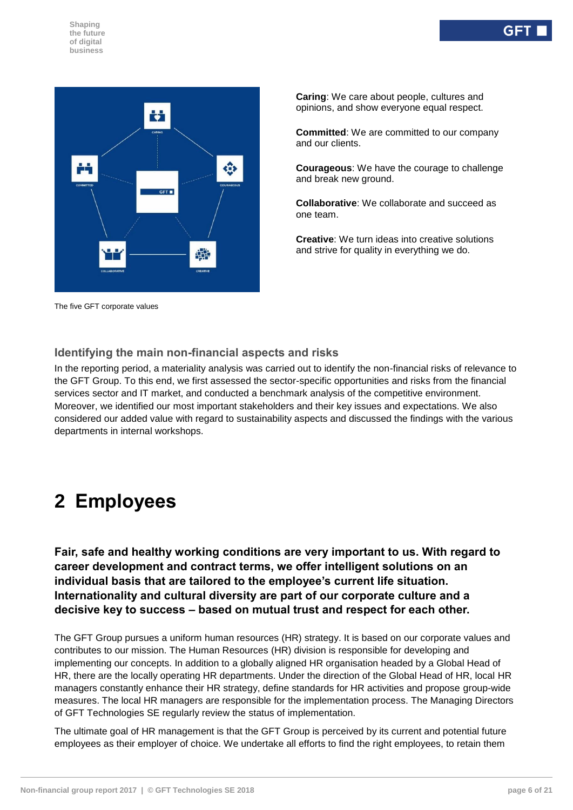

The five GFT corporate values

**Caring**: We care about people, cultures and opinions, and show everyone equal respect.

**Committed**: We are committed to our company and our clients.

**Courageous**: We have the courage to challenge and break new ground.

**Collaborative**: We collaborate and succeed as one team.

**Creative**: We turn ideas into creative solutions and strive for quality in everything we do.

#### **Identifying the main non-financial aspects and risks**

In the reporting period, a materiality analysis was carried out to identify the non-financial risks of relevance to the GFT Group. To this end, we first assessed the sector-specific opportunities and risks from the financial services sector and IT market, and conducted a benchmark analysis of the competitive environment. Moreover, we identified our most important stakeholders and their key issues and expectations. We also considered our added value with regard to sustainability aspects and discussed the findings with the various departments in internal workshops.

# <span id="page-5-0"></span>**2 Employees**

**Fair, safe and healthy working conditions are very important to us. With regard to career development and contract terms, we offer intelligent solutions on an individual basis that are tailored to the employee's current life situation. Internationality and cultural diversity are part of our corporate culture and a decisive key to success – based on mutual trust and respect for each other.**

The GFT Group pursues a uniform human resources (HR) strategy. It is based on our corporate values and contributes to our mission. The Human Resources (HR) division is responsible for developing and implementing our concepts. In addition to a globally aligned HR organisation headed by a Global Head of HR, there are the locally operating HR departments. Under the direction of the Global Head of HR, local HR managers constantly enhance their HR strategy, define standards for HR activities and propose group-wide measures. The local HR managers are responsible for the implementation process. The Managing Directors of GFT Technologies SE regularly review the status of implementation.

The ultimate goal of HR management is that the GFT Group is perceived by its current and potential future employees as their employer of choice. We undertake all efforts to find the right employees, to retain them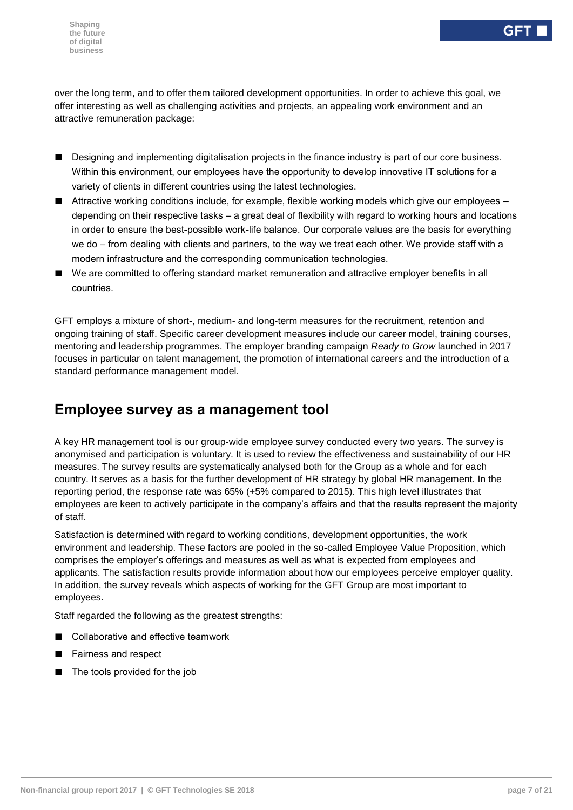over the long term, and to offer them tailored development opportunities. In order to achieve this goal, we offer interesting as well as challenging activities and projects, an appealing work environment and an attractive remuneration package:

- Designing and implementing digitalisation projects in the finance industry is part of our core business. Within this environment, our employees have the opportunity to develop innovative IT solutions for a variety of clients in different countries using the latest technologies.
- Attractive working conditions include, for example, flexible working models which give our employees depending on their respective tasks – a great deal of flexibility with regard to working hours and locations in order to ensure the best-possible work-life balance. Our corporate values are the basis for everything we do – from dealing with clients and partners, to the way we treat each other. We provide staff with a modern infrastructure and the corresponding communication technologies.
- We are committed to offering standard market remuneration and attractive employer benefits in all countries.

GFT employs a mixture of short-, medium- and long-term measures for the recruitment, retention and ongoing training of staff. Specific career development measures include our career model, training courses, mentoring and leadership programmes. The employer branding campaign *Ready to Grow* launched in 2017 focuses in particular on talent management, the promotion of international careers and the introduction of a standard performance management model.

## **Employee survey as a management tool**

A key HR management tool is our group-wide employee survey conducted every two years. The survey is anonymised and participation is voluntary. It is used to review the effectiveness and sustainability of our HR measures. The survey results are systematically analysed both for the Group as a whole and for each country. It serves as a basis for the further development of HR strategy by global HR management. In the reporting period, the response rate was 65% (+5% compared to 2015). This high level illustrates that employees are keen to actively participate in the company's affairs and that the results represent the majority of staff.

Satisfaction is determined with regard to working conditions, development opportunities, the work environment and leadership. These factors are pooled in the so-called Employee Value Proposition, which comprises the employer's offerings and measures as well as what is expected from employees and applicants. The satisfaction results provide information about how our employees perceive employer quality. In addition, the survey reveals which aspects of working for the GFT Group are most important to employees.

Staff regarded the following as the greatest strengths:

- Collaborative and effective teamwork
- Fairness and respect
- The tools provided for the job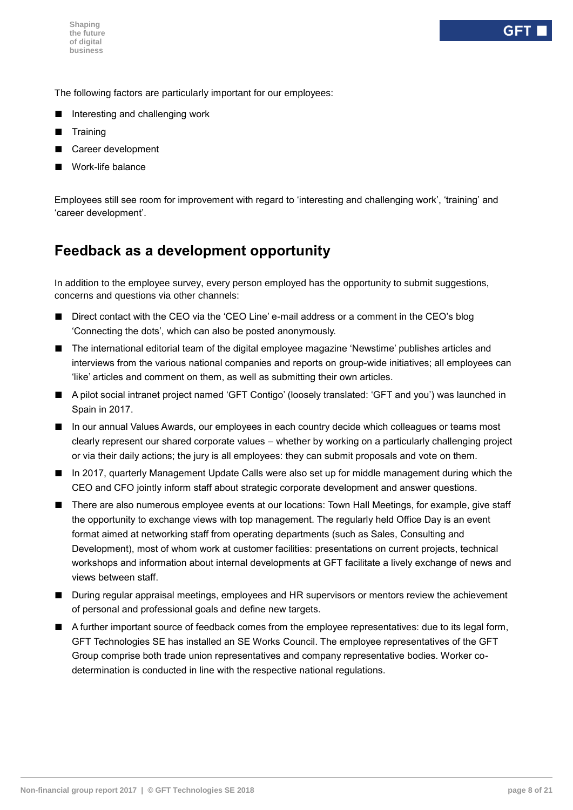The following factors are particularly important for our employees:

- Interesting and challenging work
- **Training**
- Career development
- Work-life balance

Employees still see room for improvement with regard to 'interesting and challenging work', 'training' and 'career development'.

## **Feedback as a development opportunity**

In addition to the employee survey, every person employed has the opportunity to submit suggestions, concerns and questions via other channels:

- Direct contact with the CEO via the 'CEO Line' e-mail address or a comment in the CEO's blog 'Connecting the dots', which can also be posted anonymously.
- The international editorial team of the digital employee magazine 'Newstime' publishes articles and interviews from the various national companies and reports on group-wide initiatives; all employees can 'like' articles and comment on them, as well as submitting their own articles.
- A pilot social intranet project named 'GFT Contigo' (loosely translated: 'GFT and you') was launched in Spain in 2017.
- In our annual Values Awards, our employees in each country decide which colleagues or teams most clearly represent our shared corporate values – whether by working on a particularly challenging project or via their daily actions; the jury is all employees: they can submit proposals and vote on them.
- In 2017, quarterly Management Update Calls were also set up for middle management during which the CEO and CFO jointly inform staff about strategic corporate development and answer questions.
- There are also numerous employee events at our locations: Town Hall Meetings, for example, give staff the opportunity to exchange views with top management. The regularly held Office Day is an event format aimed at networking staff from operating departments (such as Sales, Consulting and Development), most of whom work at customer facilities: presentations on current projects, technical workshops and information about internal developments at GFT facilitate a lively exchange of news and views between staff.
- During regular appraisal meetings, employees and HR supervisors or mentors review the achievement of personal and professional goals and define new targets.
- A further important source of feedback comes from the employee representatives: due to its legal form, GFT Technologies SE has installed an SE Works Council. The employee representatives of the GFT Group comprise both trade union representatives and company representative bodies. Worker codetermination is conducted in line with the respective national regulations.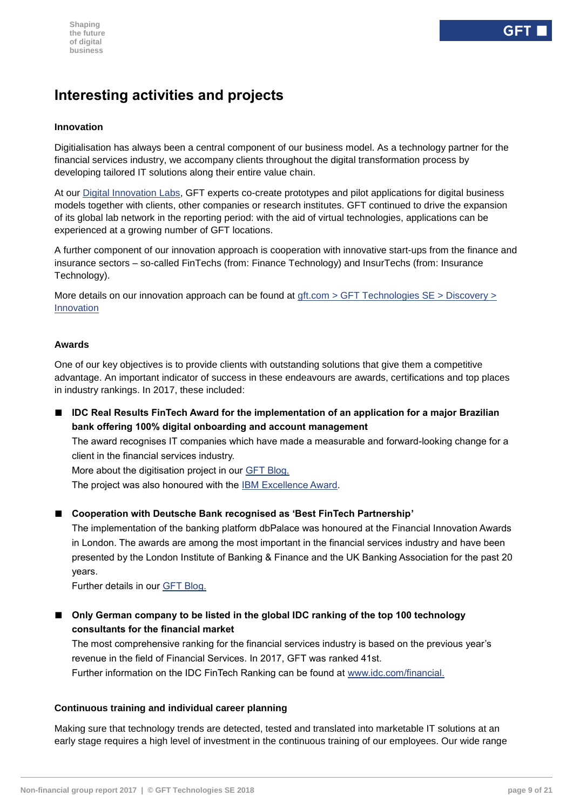# **Interesting activities and projects**

#### **Innovation**

Digitialisation has always been a central component of our business model. As a technology partner for the financial services industry, we accompany clients throughout the digital transformation process by developing tailored IT solutions along their entire value chain.

At our [Digital Innovation Labs,](https://www.youtube.com/watch?time_continue=4&v=f4dfJI-wDig) GFT experts co-create prototypes and pilot applications for digital business models together with clients, other companies or research institutes. GFT continued to drive the expansion of its global lab network in the reporting period: with the aid of virtual technologies, applications can be experienced at a growing number of GFT locations.

A further component of our innovation approach is cooperation with innovative start-ups from the finance and insurance sectors – so-called FinTechs (from: Finance Technology) and InsurTechs (from: Insurance Technology).

More details on our innovation approach can be found at gft.com > GFT Technologies SE > Discovery > [Innovation](https://www.gft.com/int/en/index/discovery/innovation/)

#### **Awards**

One of our key objectives is to provide clients with outstanding solutions that give them a competitive advantage. An important indicator of success in these endeavours are awards, certifications and top places in industry rankings. In 2017, these included:

■ **IDC Real Results FinTech Award for the implementation of an application for a major Brazilian bank offering 100% digital onboarding and account management**

The award recognises IT companies which have made a measurable and forward-looking change for a client in the financial services industry.

More about the digitisation project in our [GFT Blog.](https://blog.gft.com/blog/2017/09/25/gft-among-the-top-50-global-financial-technology-providers-and-winner-of-the-2017-idc-fintech-rankings-real-results-awards/)

The project was also honoured with the [IBM Excellence Award.](https://blog.gft.com/blog/2017/03/14/outstanding-partnership-gft-wins-ibm-excellence-award/)

■ Cooperation with Deutsche Bank recognised as 'Best FinTech Partnership'

The implementation of the banking platform dbPalace was honoured at the Financial Innovation Awards in London. The awards are among the most important in the financial services industry and have been presented by the London Institute of Banking & Finance and the UK Banking Association for the past 20 years.

Further details in our [GFT Blog.](https://blog.gft.com/blog/2017/12/21/an-evening-to-celebrate-gft-and-deutsche-bank-awarded-at-financial-innovation-awards/)

■ Only German company to be listed in the global IDC ranking of the top 100 technology **consultants for the financial market**

The most comprehensive ranking for the financial services industry is based on the previous year's revenue in the field of Financial Services. In 2017, GFT was ranked 41st. Further information on the IDC FinTech Ranking can be found at [www.idc.com/financial.](https://www.idc.com/prodserv/insights/#financial-fintech_rankings)

#### **Continuous training and individual career planning**

Making sure that technology trends are detected, tested and translated into marketable IT solutions at an early stage requires a high level of investment in the continuous training of our employees. Our wide range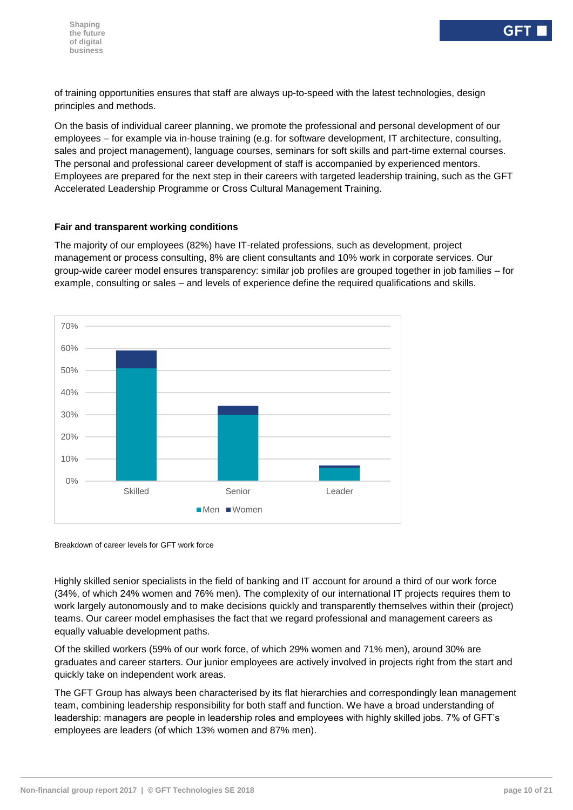of training opportunities ensures that staff are always up-to-speed with the latest technologies, design principles and methods.

On the basis of individual career planning, we promote the professional and personal development of our employees – for example via in-house training (e.g. for software development, IT architecture, consulting, sales and project management), language courses, seminars for soft skills and part-time external courses. The personal and professional career development of staff is accompanied by experienced mentors. Employees are prepared for the next step in their careers with targeted leadership training, such as the GFT Accelerated Leadership Programme or Cross Cultural Management Training.

#### **Fair and transparent working conditions**

The majority of our employees (82%) have IT-related professions, such as development, project management or process consulting, 8% are client consultants and 10% work in corporate services. Our group-wide career model ensures transparency: similar job profiles are grouped together in job families – for example, consulting or sales – and levels of experience define the required qualifications and skills.



Breakdown of career levels for GFT work force

Highly skilled senior specialists in the field of banking and IT account for around a third of our work force (34%, of which 24% women and 76% men). The complexity of our international IT projects requires them to work largely autonomously and to make decisions quickly and transparently themselves within their (project) teams. Our career model emphasises the fact that we regard professional and management careers as equally valuable development paths.

Of the skilled workers (59% of our work force, of which 29% women and 71% men), around 30% are graduates and career starters. Our junior employees are actively involved in projects right from the start and quickly take on independent work areas.

The GFT Group has always been characterised by its flat hierarchies and correspondingly lean management team, combining leadership responsibility for both staff and function. We have a broad understanding of leadership: managers are people in leadership roles and employees with highly skilled jobs. 7% of GFT's employees are leaders (of which 13% women and 87% men).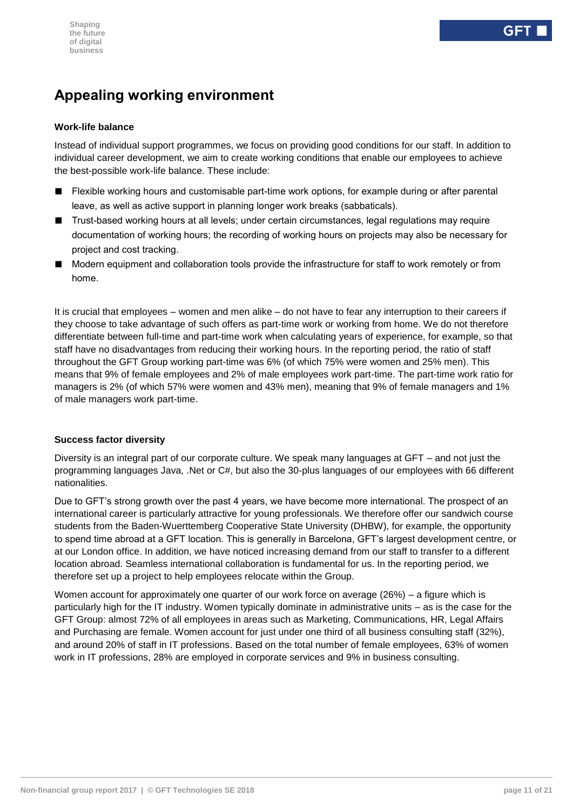# **Appealing working environment**

#### **Work-life balance**

Instead of individual support programmes, we focus on providing good conditions for our staff. In addition to individual career development, we aim to create working conditions that enable our employees to achieve the best-possible work-life balance. These include:

- Flexible working hours and customisable part-time work options, for example during or after parental leave, as well as active support in planning longer work breaks (sabbaticals).
- Trust-based working hours at all levels; under certain circumstances, legal regulations may require documentation of working hours; the recording of working hours on projects may also be necessary for project and cost tracking.
- Modern equipment and collaboration tools provide the infrastructure for staff to work remotely or from home.

It is crucial that employees – women and men alike – do not have to fear any interruption to their careers if they choose to take advantage of such offers as part-time work or working from home. We do not therefore differentiate between full-time and part-time work when calculating years of experience, for example, so that staff have no disadvantages from reducing their working hours. In the reporting period, the ratio of staff throughout the GFT Group working part-time was 6% (of which 75% were women and 25% men). This means that 9% of female employees and 2% of male employees work part-time. The part-time work ratio for managers is 2% (of which 57% were women and 43% men), meaning that 9% of female managers and 1% of male managers work part-time.

#### **Success factor diversity**

Diversity is an integral part of our corporate culture. We speak many languages at GFT – and not just the programming languages Java, .Net or C#, but also the 30-plus languages of our employees with 66 different nationalities.

Due to GFT's strong growth over the past 4 years, we have become more international. The prospect of an international career is particularly attractive for young professionals. We therefore offer our sandwich course students from the Baden-Wuerttemberg Cooperative State University (DHBW), for example, the opportunity to spend time abroad at a GFT location. This is generally in Barcelona, GFT's largest development centre, or at our London office. In addition, we have noticed increasing demand from our staff to transfer to a different location abroad. Seamless international collaboration is fundamental for us. In the reporting period, we therefore set up a project to help employees relocate within the Group.

Women account for approximately one quarter of our work force on average (26%) – a figure which is particularly high for the IT industry. Women typically dominate in administrative units – as is the case for the GFT Group: almost 72% of all employees in areas such as Marketing, Communications, HR, Legal Affairs and Purchasing are female. Women account for just under one third of all business consulting staff (32%), and around 20% of staff in IT professions. Based on the total number of female employees, 63% of women work in IT professions, 28% are employed in corporate services and 9% in business consulting.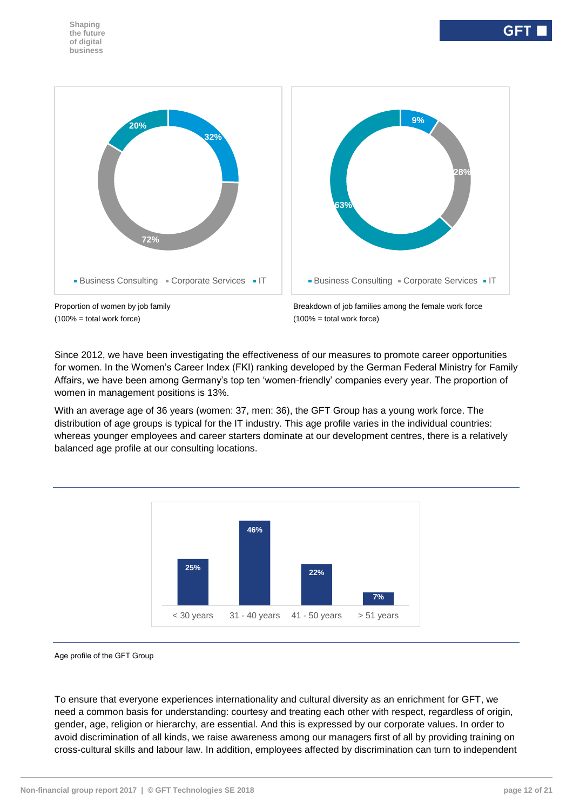

 $(100\% = \text{total work force})$  (100% = total work force)



Since 2012, we have been investigating the effectiveness of our measures to promote career opportunities for women. In the Women's Career Index (FKI) ranking developed by the German Federal Ministry for Family Affairs, we have been among Germany's top ten 'women-friendly' companies every year. The proportion of women in management positions is 13%.

With an average age of 36 years (women: 37, men: 36), the GFT Group has a young work force. The distribution of age groups is typical for the IT industry. This age profile varies in the individual countries: whereas younger employees and career starters dominate at our development centres, there is a relatively balanced age profile at our consulting locations.



Age profile of the GFT Group

To ensure that everyone experiences internationality and cultural diversity as an enrichment for GFT, we need a common basis for understanding: courtesy and treating each other with respect, regardless of origin, gender, age, religion or hierarchy, are essential. And this is expressed by our corporate values. In order to avoid discrimination of all kinds, we raise awareness among our managers first of all by providing training on cross-cultural skills and labour law. In addition, employees affected by discrimination can turn to independent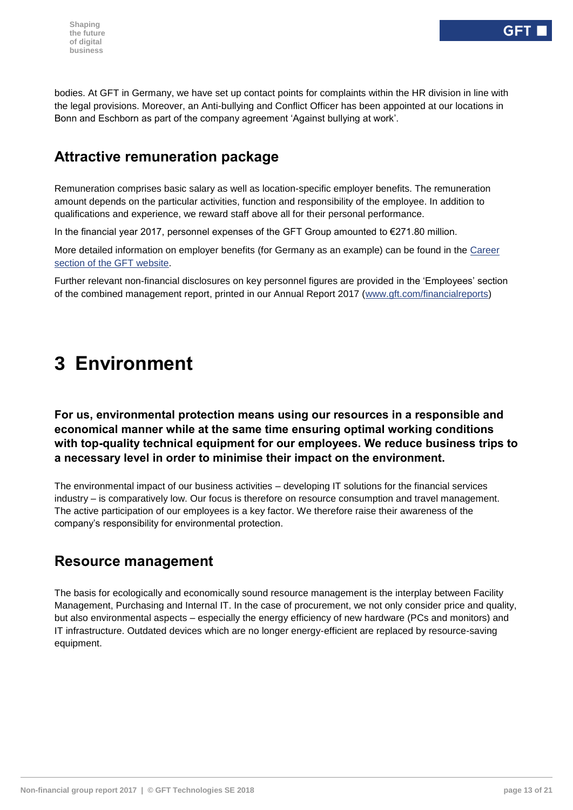bodies. At GFT in Germany, we have set up contact points for complaints within the HR division in line with the legal provisions. Moreover, an Anti-bullying and Conflict Officer has been appointed at our locations in Bonn and Eschborn as part of the company agreement 'Against bullying at work'.

## **Attractive remuneration package**

Remuneration comprises basic salary as well as location-specific employer benefits. The remuneration amount depends on the particular activities, function and responsibility of the employee. In addition to qualifications and experience, we reward staff above all for their personal performance.

In the financial year 2017, personnel expenses of the GFT Group amounted to €271.80 million.

More detailed information on employer benefits (for Germany as an example) can be found in the [Career](https://www.gft.com/de/de/index/unternehmen/karriere/benefits/)  [section of the GFT website.](https://www.gft.com/de/de/index/unternehmen/karriere/benefits/)

<span id="page-12-0"></span>Further relevant non-financial disclosures on key personnel figures are provided in the 'Employees' section of the combined management report, printed in our Annual Report 2017 [\(www.gft.com/financialreports\)](http://www.gft.com/financialreports)

# **3 Environment**

#### **For us, environmental protection means using our resources in a responsible and economical manner while at the same time ensuring optimal working conditions with top-quality technical equipment for our employees. We reduce business trips to a necessary level in order to minimise their impact on the environment.**

The environmental impact of our business activities – developing IT solutions for the financial services industry – is comparatively low. Our focus is therefore on resource consumption and travel management. The active participation of our employees is a key factor. We therefore raise their awareness of the company's responsibility for environmental protection.

## **Resource management**

The basis for ecologically and economically sound resource management is the interplay between Facility Management, Purchasing and Internal IT. In the case of procurement, we not only consider price and quality, but also environmental aspects – especially the energy efficiency of new hardware (PCs and monitors) and IT infrastructure. Outdated devices which are no longer energy-efficient are replaced by resource-saving equipment.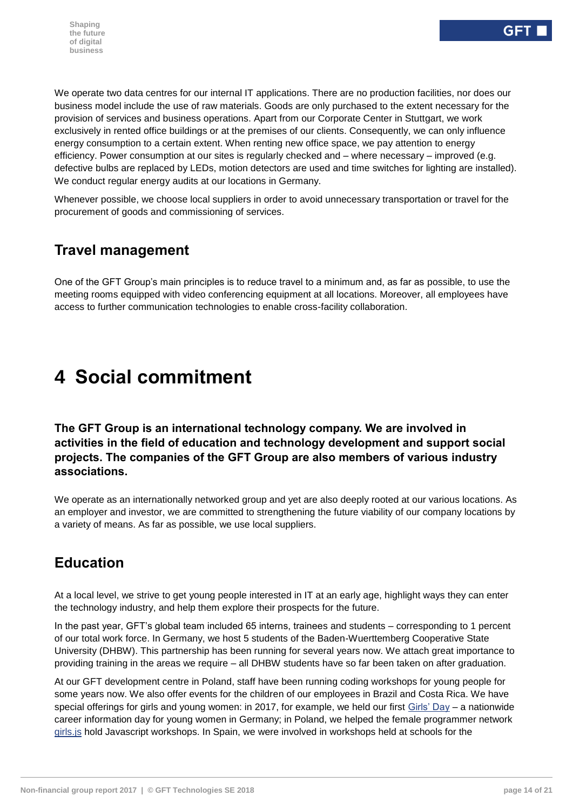We operate two data centres for our internal IT applications. There are no production facilities, nor does our business model include the use of raw materials. Goods are only purchased to the extent necessary for the provision of services and business operations. Apart from our Corporate Center in Stuttgart, we work exclusively in rented office buildings or at the premises of our clients. Consequently, we can only influence energy consumption to a certain extent. When renting new office space, we pay attention to energy efficiency. Power consumption at our sites is regularly checked and – where necessary – improved (e.g. defective bulbs are replaced by LEDs, motion detectors are used and time switches for lighting are installed). We conduct regular energy audits at our locations in Germany.

Whenever possible, we choose local suppliers in order to avoid unnecessary transportation or travel for the procurement of goods and commissioning of services.

# **Travel management**

<span id="page-13-0"></span>One of the GFT Group's main principles is to reduce travel to a minimum and, as far as possible, to use the meeting rooms equipped with video conferencing equipment at all locations. Moreover, all employees have access to further communication technologies to enable cross-facility collaboration.

# **4 Social commitment**

**The GFT Group is an international technology company. We are involved in activities in the field of education and technology development and support social projects. The companies of the GFT Group are also members of various industry associations.**

We operate as an internationally networked group and yet are also deeply rooted at our various locations. As an employer and investor, we are committed to strengthening the future viability of our company locations by a variety of means. As far as possible, we use local suppliers.

# **Education**

At a local level, we strive to get young people interested in IT at an early age, highlight ways they can enter the technology industry, and help them explore their prospects for the future.

In the past year, GFT's global team included 65 interns, trainees and students – corresponding to 1 percent of our total work force. In Germany, we host 5 students of the Baden-Wuerttemberg Cooperative State University (DHBW). This partnership has been running for several years now. We attach great importance to providing training in the areas we require – all DHBW students have so far been taken on after graduation.

At our GFT development centre in Poland, staff have been running coding workshops for young people for some years now. We also offer events for the children of our employees in Brazil and Costa Rica. We have special offerings for girls and young women: in 2017, for example, we held our first [Girls' Day](https://www.stuttgarter-zeitung.de/inhalt.girls-day-in-stuttgart-maedchen-hacken-videospiele.eb1b4ceb-8676-47ca-9a27-ca48b5e03e40.html) – a nationwide career information day for young women in Germany; in Poland, we helped the female programmer network [girls.js](https://blog.gft.com/pl/2017/06/14/girls-js-kobieca-strona-javascriptu/) hold Javascript workshops. In Spain, we were involved in workshops held at schools for the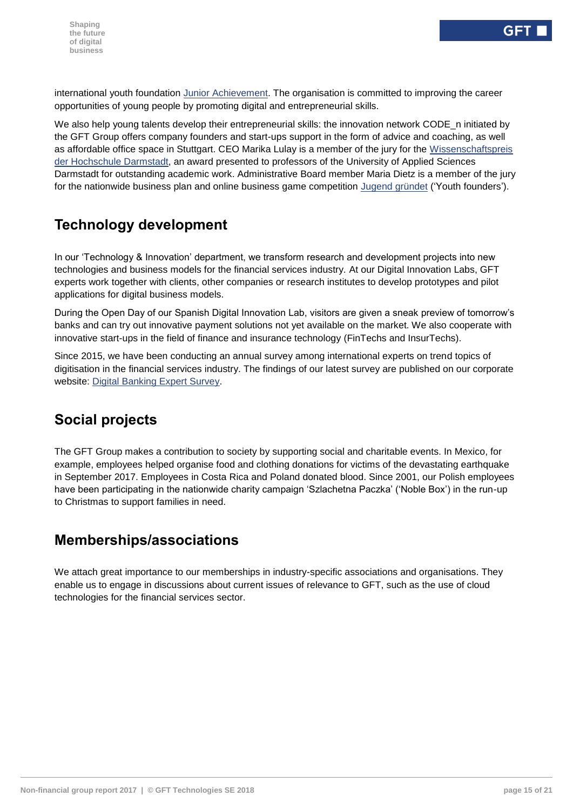international youth foundation [Junior Achievement.](http://fundacionjaes.org/) The organisation is committed to improving the career opportunities of young people by promoting digital and entrepreneurial skills.

We also help young talents develop their entrepreneurial skills: the innovation network CODE n initiated by the GFT Group offers company founders and start-ups support in the form of advice and coaching, as well as affordable office space in Stuttgart. CEO Marika Lulay is a member of the jury for the [Wissenschaftspreis](https://www.h-da.de/meldung-einzelansicht/news/hochschule-darmstadt-verleiht-wissenschaftspreis-fuer-herausragende-angewandte-forschung/?tx_news_pi1%5Bcontroller%5D=News&tx_news_pi1%5Baction%5D=detail&cHash=8ab508245d9a7e015b58bdfe42b30a77)  [der Hochschule Darmstadt,](https://www.h-da.de/meldung-einzelansicht/news/hochschule-darmstadt-verleiht-wissenschaftspreis-fuer-herausragende-angewandte-forschung/?tx_news_pi1%5Bcontroller%5D=News&tx_news_pi1%5Baction%5D=detail&cHash=8ab508245d9a7e015b58bdfe42b30a77) an award presented to professors of the University of Applied Sciences Darmstadt for outstanding academic work. Administrative Board member Maria Dietz is a member of the jury for the nationwide business plan and online business game competition [Jugend gründet](https://www.jugend-gruendet.de/wettbewerb/jury/) ('Youth founders').

## **Technology development**

In our 'Technology & Innovation' department, we transform research and development projects into new technologies and business models for the financial services industry. At our Digital Innovation Labs, GFT experts work together with clients, other companies or research institutes to develop prototypes and pilot applications for digital business models.

During the Open Day of our Spanish Digital Innovation Lab, visitors are given a sneak preview of tomorrow's banks and can try out innovative payment solutions not yet available on the market. We also cooperate with innovative start-ups in the field of finance and insurance technology (FinTechs and InsurTechs).

Since 2015, we have been conducting an annual survey among international experts on trend topics of digitisation in the financial services industry. The findings of our latest survey are published on our corporate website: [Digital Banking Expert Survey.](https://www.gft.com/microsites/digital-banking-survey-2017/us/en/)

# **Social projects**

The GFT Group makes a contribution to society by supporting social and charitable events. In Mexico, for example, employees helped organise food and clothing donations for victims of the devastating earthquake in September 2017. Employees in Costa Rica and Poland donated blood. Since 2001, our Polish employees have been participating in the nationwide charity campaign 'Szlachetna Paczka' ('Noble Box') in the run-up to Christmas to support families in need.

# **Memberships/associations**

We attach great importance to our memberships in industry-specific associations and organisations. They enable us to engage in discussions about current issues of relevance to GFT, such as the use of cloud technologies for the financial services sector.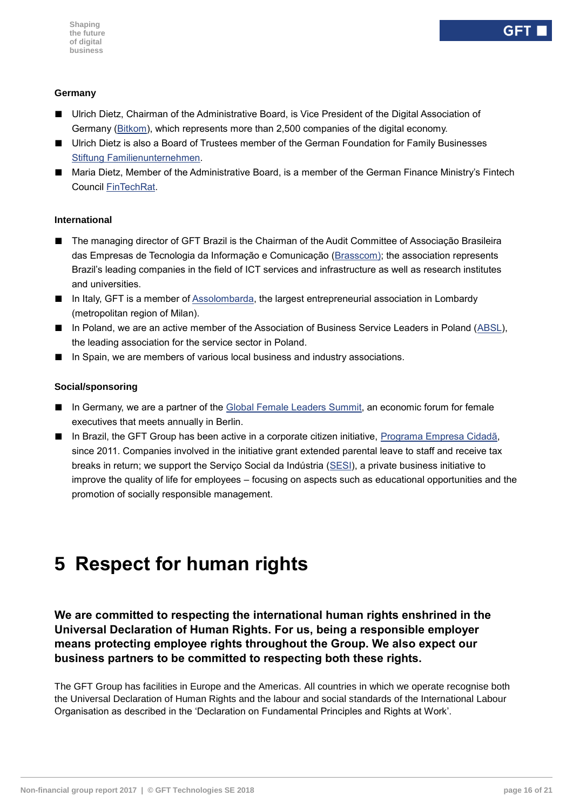#### **Germany**

- Ulrich Dietz, Chairman of the Administrative Board, is Vice President of the Digital Association of Germany [\(Bitkom\)](https://www.bitkom.org/), which represents more than 2,500 companies of the digital economy.
- Ulrich Dietz is also a Board of Trustees member of the German Foundation for Family Businesses [Stiftung Familienunternehmen.](http://www.familienunternehmen.de/)
- Maria Dietz, Member of the Administrative Board, is a member of the German Finance Ministry's Fintech Council [FinTechRat.](http://www.bundesfinanzministerium.de/Content/DE/Pressemitteilungen/Finanzpolitik/2017/03/2017-03-22-pm-fintech.html)

#### **International**

- The managing director of GFT Brazil is the Chairman of the Audit Committee of Associação Brasileira das Empresas de Tecnologia da Informação e Comunicação [\(Brasscom\)](https://brasscom.org.br/); the association represents Brazil's leading companies in the field of ICT services and infrastructure as well as research institutes and universities.
- In Italy, GFT is a member of [Assolombarda,](http://www.assolombarda.it/english-version) the largest entrepreneurial association in Lombardy (metropolitan region of Milan).
- In Poland, we are an active member of the Association of Business Service Leaders in Poland [\(ABSL\)](http://absl.pl/), the leading association for the service sector in Poland.
- In Spain, we are members of various local business and industry associations.

#### **Social/sponsoring**

- In Germany, we are a partner of the [Global Female Leaders Summit,](http://www.globalfemaleleaders.com/) an economic forum for female executives that meets annually in Berlin.
- In Brazil, the GFT Group has been active in a corporate citizen initiative, [Programa Empresa Cidadã,](http://idg.receita.fazenda.gov.br/orientacao/tributaria/isencoes/programa-empresa-cidada) since 2011. Companies involved in the initiative grant extended parental leave to staff and receive tax breaks in return; we support the Serviço Social da Indústria [\(SESI\)](http://www.sesisp.org.br/), a private business initiative to improve the quality of life for employees – focusing on aspects such as educational opportunities and the promotion of socially responsible management.

# <span id="page-15-0"></span>**5 Respect for human rights**

#### **We are committed to respecting the international human rights enshrined in the Universal Declaration of Human Rights. For us, being a responsible employer means protecting employee rights throughout the Group. We also expect our business partners to be committed to respecting both these rights.**

The GFT Group has facilities in Europe and the Americas. All countries in which we operate recognise both the Universal Declaration of Human Rights and the labour and social standards of the International Labour Organisation as described in the 'Declaration on Fundamental Principles and Rights at Work'.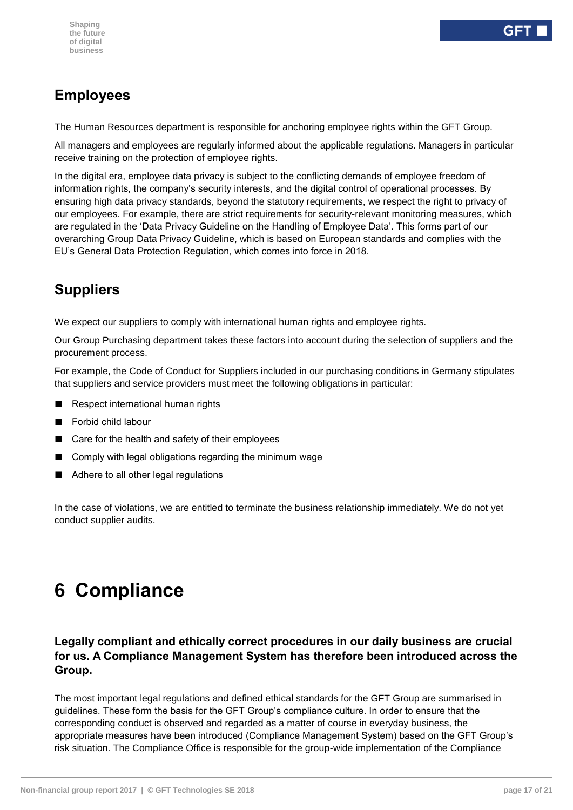# **Employees**

The Human Resources department is responsible for anchoring employee rights within the GFT Group.

All managers and employees are regularly informed about the applicable regulations. Managers in particular receive training on the protection of employee rights.

In the digital era, employee data privacy is subject to the conflicting demands of employee freedom of information rights, the company's security interests, and the digital control of operational processes. By ensuring high data privacy standards, beyond the statutory requirements, we respect the right to privacy of our employees. For example, there are strict requirements for security-relevant monitoring measures, which are regulated in the 'Data Privacy Guideline on the Handling of Employee Data'. This forms part of our overarching Group Data Privacy Guideline, which is based on European standards and complies with the EU's General Data Protection Regulation, which comes into force in 2018.

# **Suppliers**

We expect our suppliers to comply with international human rights and employee rights.

Our Group Purchasing department takes these factors into account during the selection of suppliers and the procurement process.

For example, the Code of Conduct for Suppliers included in our purchasing conditions in Germany stipulates that suppliers and service providers must meet the following obligations in particular:

- Respect international human rights
- Forbid child labour
- Care for the health and safety of their employees
- Comply with legal obligations regarding the minimum wage
- Adhere to all other legal regulations

<span id="page-16-0"></span>In the case of violations, we are entitled to terminate the business relationship immediately. We do not yet conduct supplier audits.

# **6 Compliance**

**Legally compliant and ethically correct procedures in our daily business are crucial for us. A Compliance Management System has therefore been introduced across the Group.**

The most important legal regulations and defined ethical standards for the GFT Group are summarised in guidelines. These form the basis for the GFT Group's compliance culture. In order to ensure that the corresponding conduct is observed and regarded as a matter of course in everyday business, the appropriate measures have been introduced (Compliance Management System) based on the GFT Group's risk situation. The Compliance Office is responsible for the group-wide implementation of the Compliance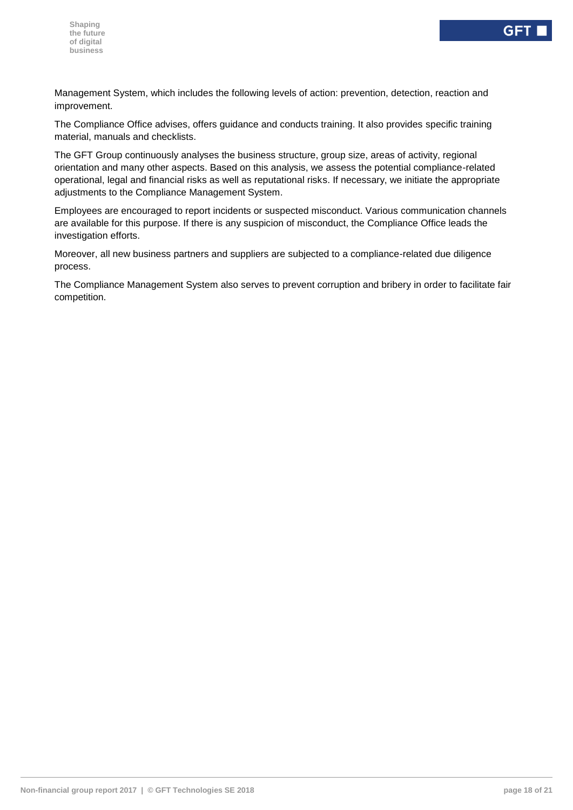Management System, which includes the following levels of action: prevention, detection, reaction and improvement.

The Compliance Office advises, offers guidance and conducts training. It also provides specific training material, manuals and checklists.

The GFT Group continuously analyses the business structure, group size, areas of activity, regional orientation and many other aspects. Based on this analysis, we assess the potential compliance-related operational, legal and financial risks as well as reputational risks. If necessary, we initiate the appropriate adjustments to the Compliance Management System.

Employees are encouraged to report incidents or suspected misconduct. Various communication channels are available for this purpose. If there is any suspicion of misconduct, the Compliance Office leads the investigation efforts.

Moreover, all new business partners and suppliers are subjected to a compliance-related due diligence process.

The Compliance Management System also serves to prevent corruption and bribery in order to facilitate fair competition.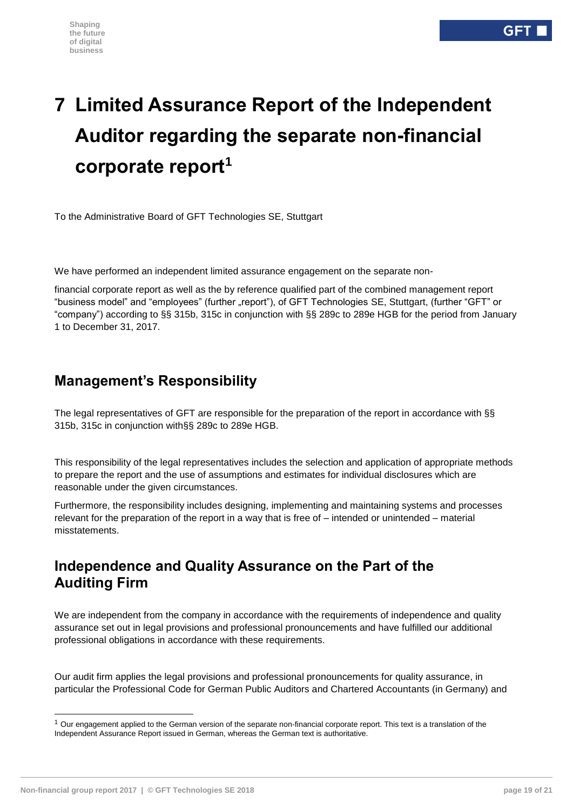# <span id="page-18-0"></span>**7 Limited Assurance Report of the Independent Auditor regarding the separate non-financial corporate report<sup>1</sup>**

To the Administrative Board of GFT Technologies SE, Stuttgart

We have performed an independent limited assurance engagement on the separate non-

financial corporate report as well as the by reference qualified part of the combined management report "business model" and "employees" (further "report"), of GFT Technologies SE, Stuttgart, (further "GFT" or "company") according to §§ 315b, 315c in conjunction with §§ 289c to 289e HGB for the period from January 1 to December 31, 2017.

# **Management's Responsibility**

The legal representatives of GFT are responsible for the preparation of the report in accordance with §§ 315b, 315c in conjunction with§§ 289c to 289e HGB.

This responsibility of the legal representatives includes the selection and application of appropriate methods to prepare the report and the use of assumptions and estimates for individual disclosures which are reasonable under the given circumstances.

Furthermore, the responsibility includes designing, implementing and maintaining systems and processes relevant for the preparation of the report in a way that is free of – intended or unintended – material misstatements.

## **Independence and Quality Assurance on the Part of the Auditing Firm**

We are independent from the company in accordance with the requirements of independence and quality assurance set out in legal provisions and professional pronouncements and have fulfilled our additional professional obligations in accordance with these requirements.

Our audit firm applies the legal provisions and professional pronouncements for quality assurance, in particular the Professional Code for German Public Auditors and Chartered Accountants (in Germany) and

-

 $1$  Our engagement applied to the German version of the separate non-financial corporate report. This text is a translation of the Independent Assurance Report issued in German, whereas the German text is authoritative.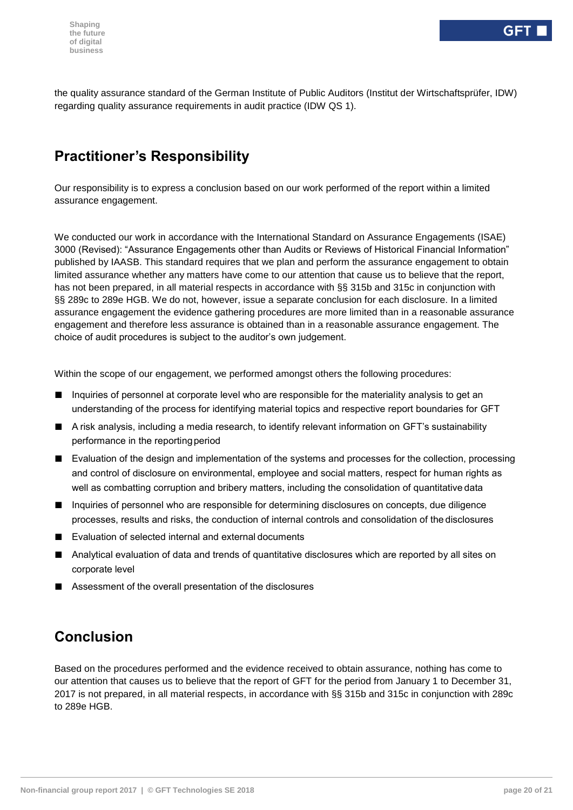the quality assurance standard of the German Institute of Public Auditors (Institut der Wirtschaftsprüfer, IDW) regarding quality assurance requirements in audit practice (IDW QS 1).

# **Practitioner's Responsibility**

Our responsibility is to express a conclusion based on our work performed of the report within a limited assurance engagement.

We conducted our work in accordance with the International Standard on Assurance Engagements (ISAE) 3000 (Revised): "Assurance Engagements other than Audits or Reviews of Historical Financial Information" published by IAASB. This standard requires that we plan and perform the assurance engagement to obtain limited assurance whether any matters have come to our attention that cause us to believe that the report, has not been prepared, in all material respects in accordance with §§ 315b and 315c in conjunction with §§ 289c to 289e HGB. We do not, however, issue a separate conclusion for each disclosure. In a limited assurance engagement the evidence gathering procedures are more limited than in a reasonable assurance engagement and therefore less assurance is obtained than in a reasonable assurance engagement. The choice of audit procedures is subject to the auditor's own judgement.

Within the scope of our engagement, we performed amongst others the following procedures:

- Inquiries of personnel at corporate level who are responsible for the materiality analysis to get an understanding of the process for identifying material topics and respective report boundaries for GFT
- A risk analysis, including a media research, to identify relevant information on GFT's sustainability performance in the reporting period
- Evaluation of the design and implementation of the systems and processes for the collection, processing and control of disclosure on environmental, employee and social matters, respect for human rights as well as combatting corruption and bribery matters, including the consolidation of quantitative data
- Inquiries of personnel who are responsible for determining disclosures on concepts, due diligence processes, results and risks, the conduction of internal controls and consolidation of the disclosures
- Evaluation of selected internal and external documents
- Analytical evaluation of data and trends of quantitative disclosures which are reported by all sites on corporate level
- Assessment of the overall presentation of the disclosures

# **Conclusion**

Based on the procedures performed and the evidence received to obtain assurance, nothing has come to our attention that causes us to believe that the report of GFT for the period from January 1 to December 31, 2017 is not prepared, in all material respects, in accordance with §§ 315b and 315c in conjunction with 289c to 289e HGB.